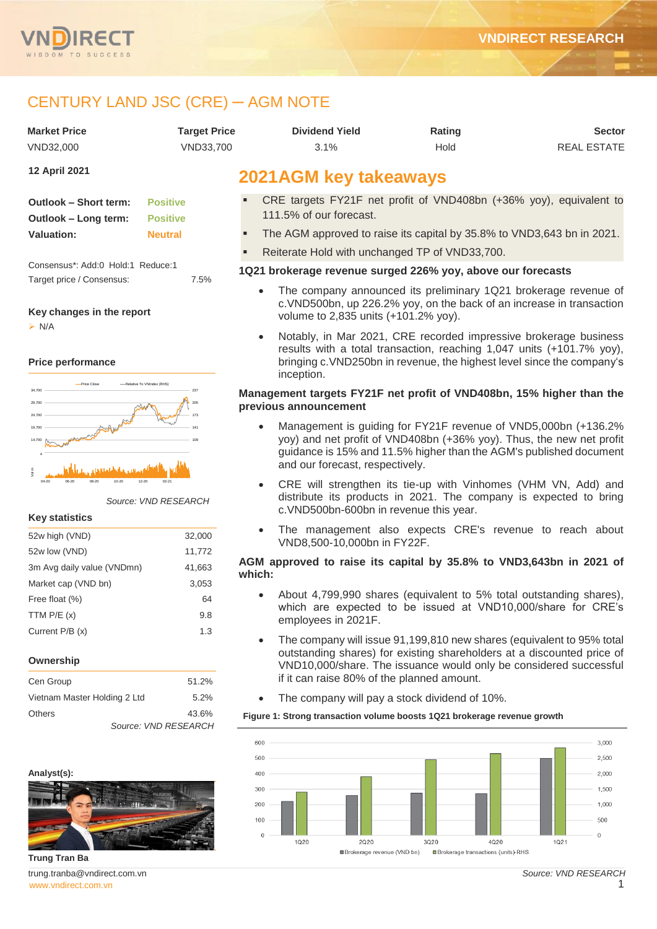



# CENTURY LAND JSC (CRE) ─ AGM NOTE

| CENTURY LAND JSC (CRE) — AGM NOTE                               |                                    |                                                                                                                                                                                               |                                                                                                                                                                                                                      |                    |  |  |  |
|-----------------------------------------------------------------|------------------------------------|-----------------------------------------------------------------------------------------------------------------------------------------------------------------------------------------------|----------------------------------------------------------------------------------------------------------------------------------------------------------------------------------------------------------------------|--------------------|--|--|--|
| <b>Market Price</b>                                             | <b>Target Price</b>                | <b>Dividend Yield</b>                                                                                                                                                                         | Rating                                                                                                                                                                                                               | <b>Sector</b>      |  |  |  |
| VND32,000                                                       | VND33,700                          | 3.1%                                                                                                                                                                                          | Hold                                                                                                                                                                                                                 | <b>REAL ESTATE</b> |  |  |  |
| 12 April 2021                                                   |                                    | <b>2021AGM key takeaways</b>                                                                                                                                                                  |                                                                                                                                                                                                                      |                    |  |  |  |
| Outlook - Short term:<br>Outlook - Long term:                   | <b>Positive</b><br><b>Positive</b> | CRE targets FY21F net profit of VND408bn (+36% yoy), equivalent to<br>111.5% of our forecast.                                                                                                 |                                                                                                                                                                                                                      |                    |  |  |  |
| <b>Valuation:</b>                                               | <b>Neutral</b>                     | The AGM approved to raise its capital by 35.8% to VND3,643 bn in 2021.                                                                                                                        |                                                                                                                                                                                                                      |                    |  |  |  |
|                                                                 |                                    | Reiterate Hold with unchanged TP of VND33,700.                                                                                                                                                |                                                                                                                                                                                                                      |                    |  |  |  |
| Consensus*: Add:0 Hold:1 Reduce:1                               |                                    | 1Q21 brokerage revenue surged 226% yoy, above our forecasts                                                                                                                                   |                                                                                                                                                                                                                      |                    |  |  |  |
| Target price / Consensus:<br>Key changes in the report          | 7.5%                               | The company announced its preliminary 1Q21 brokerage revenue of<br>$\bullet$<br>c. VND500bn, up 226.2% yoy, on the back of an increase in transaction<br>volume to 2,835 units (+101.2% yoy). |                                                                                                                                                                                                                      |                    |  |  |  |
| $\triangleright$ N/A<br><b>Price performance</b><br>Price Close |                                    | inception.                                                                                                                                                                                    | Notably, in Mar 2021, CRE recorded impressive brokerage business<br>results with a total transaction, reaching 1,047 units (+101.7% yoy),<br>bringing c. VND250bn in revenue, the highest level since the company's  |                    |  |  |  |
| -Relative To VNIndex (RHS<br>34,700<br>29,700<br>24,700         | 205                                | Management targets FY21F net profit of VND408bn, 15% higher than the<br>previous announcement                                                                                                 |                                                                                                                                                                                                                      |                    |  |  |  |
| 19,700<br>with<br>14,700                                        |                                    | and our forecast, respectively.                                                                                                                                                               | Management is guiding for FY21F revenue of VND5,000bn (+136.2%)<br>yoy) and net profit of VND408bn (+36% yoy). Thus, the new net profit<br>guidance is 15% and 11.5% higher than the AGM's published document        |                    |  |  |  |
| $04 - 20$<br><b>Key statistics</b>                              | $02 - 21$<br>Source: VND RESEARCH  | c. VND500bn-600bn in revenue this year.                                                                                                                                                       | CRE will strengthen its tie-up with Vinhomes (VHM VN, Add) and<br>distribute its products in 2021. The company is expected to bring                                                                                  |                    |  |  |  |
| 52w high (VND)                                                  | 32,000                             | $\bullet$<br>VND8,500-10,000bn in FY22F.                                                                                                                                                      | The management also expects CRE's revenue to reach about                                                                                                                                                             |                    |  |  |  |
| 52w low (VND)                                                   | 11,772                             | AGM approved to raise its capital by 35.8% to VND3,643bn in 2021 of                                                                                                                           |                                                                                                                                                                                                                      |                    |  |  |  |
| 3m Avg daily value (VNDmn)                                      | 41,663                             | which:                                                                                                                                                                                        |                                                                                                                                                                                                                      |                    |  |  |  |
| Market cap (VND bn)<br>Free float (%)                           | 3,053                              |                                                                                                                                                                                               | About 4,799,990 shares (equivalent to 5% total outstanding shares),                                                                                                                                                  |                    |  |  |  |
| TTM $P/E(x)$                                                    | 64<br>9.8                          |                                                                                                                                                                                               | which are expected to be issued at VND10,000/share for CRE's                                                                                                                                                         |                    |  |  |  |
| Current P/B (x)                                                 | 1.3                                | employees in 2021F.                                                                                                                                                                           |                                                                                                                                                                                                                      |                    |  |  |  |
| Ownership                                                       |                                    |                                                                                                                                                                                               | The company will issue 91,199,810 new shares (equivalent to 95% total<br>outstanding shares) for existing shareholders at a discounted price of<br>VND10,000/share. The issuance would only be considered successful |                    |  |  |  |
| Cen Group                                                       | 51.2%                              | if it can raise 80% of the planned amount.                                                                                                                                                    |                                                                                                                                                                                                                      |                    |  |  |  |
| Vietnam Master Holding 2 Ltd                                    | 5.2%                               | $\bullet$                                                                                                                                                                                     | The company will pay a stock dividend of 10%.                                                                                                                                                                        |                    |  |  |  |

| vietnam Master Holding Z Ltd | ວ.∠″o | The company will pay a stock dividend                |
|------------------------------|-------|------------------------------------------------------|
| <b>Others</b>                | 43.6% | Figure 1: Strong transaction volume boosts 1021 brok |





[www.vndirect.com.vn](file:///C:/Users/Andre/Downloads/www.vndirect.com.vn) 1 **Trung Tran Ba** trung.tranba@vndirect.com.vn

**Analyst(s):**

*Source: VND RESEARCH*

*Source: VND RESEARCH*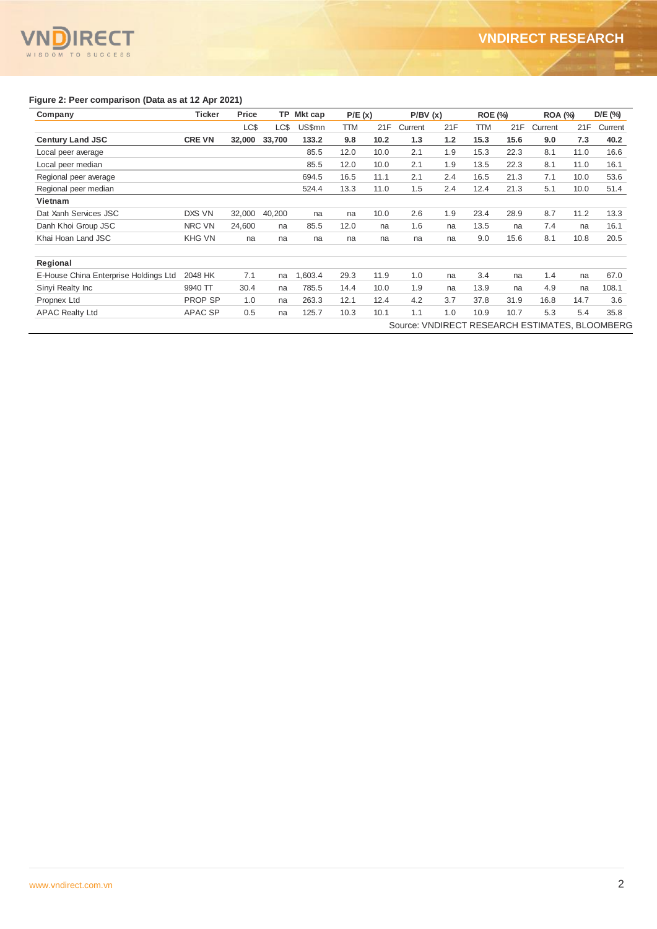#### **IRECT** N WISDOM TO SUCCESS

### **Figure 2: Peer comparison (Data as at 12 Apr 2021)**

| Company                               | <b>Ticker</b>  | Price  | TP     | Mkt cap | P/E(x) |      | P/BV(x) |     | <b>ROE (%)</b> |      | <b>ROA (%)</b>                                 |      | D/E (%) |
|---------------------------------------|----------------|--------|--------|---------|--------|------|---------|-----|----------------|------|------------------------------------------------|------|---------|
|                                       |                | LC\$   | LC\$   | US\$mn  | TTM    | 21F  | Current | 21F | TTM            | 21F  | Current                                        | 21F  | Current |
| <b>Century Land JSC</b>               | <b>CRE VN</b>  | 32,000 | 33,700 | 133.2   | 9.8    | 10.2 | 1.3     | 1.2 | 15.3           | 15.6 | 9.0                                            | 7.3  | 40.2    |
| Local peer average                    |                |        |        | 85.5    | 12.0   | 10.0 | 2.1     | 1.9 | 15.3           | 22.3 | 8.1                                            | 11.0 | 16.6    |
| Local peer median                     |                |        |        | 85.5    | 12.0   | 10.0 | 2.1     | 1.9 | 13.5           | 22.3 | 8.1                                            | 11.0 | 16.1    |
| Regional peer average                 |                |        |        | 694.5   | 16.5   | 11.1 | 2.1     | 2.4 | 16.5           | 21.3 | 7.1                                            | 10.0 | 53.6    |
| Regional peer median                  |                |        |        | 524.4   | 13.3   | 11.0 | 1.5     | 2.4 | 12.4           | 21.3 | 5.1                                            | 10.0 | 51.4    |
| Vietnam                               |                |        |        |         |        |      |         |     |                |      |                                                |      |         |
| Dat Xanh Services JSC                 | DXS VN         | 32,000 | 40,200 | na      | na     | 10.0 | 2.6     | 1.9 | 23.4           | 28.9 | 8.7                                            | 11.2 | 13.3    |
| Danh Khoi Group JSC                   | NRC VN         | 24,600 | na     | 85.5    | 12.0   | na   | 1.6     | na  | 13.5           | na   | 7.4                                            | na   | 16.1    |
| Khai Hoan Land JSC                    | <b>KHG VN</b>  | na     | na     | na      | na     | na   | na      | na  | 9.0            | 15.6 | 8.1                                            | 10.8 | 20.5    |
| Regional                              |                |        |        |         |        |      |         |     |                |      |                                                |      |         |
| E-House China Enterprise Holdings Ltd | 2048 HK        | 7.1    | na     | ,603.4  | 29.3   | 11.9 | 1.0     | na  | 3.4            | na   | 1.4                                            | na   | 67.0    |
| Sinyi Realty Inc                      | 9940 TT        | 30.4   | na     | 785.5   | 14.4   | 10.0 | 1.9     | na  | 13.9           | na   | 4.9                                            | na   | 108.1   |
| Propnex Ltd                           | <b>PROP SP</b> | 1.0    | na     | 263.3   | 12.1   | 12.4 | 4.2     | 3.7 | 37.8           | 31.9 | 16.8                                           | 14.7 | 3.6     |
| <b>APAC Realty Ltd</b>                | <b>APAC SP</b> | 0.5    | na     | 125.7   | 10.3   | 10.1 | 1.1     | 1.0 | 10.9           | 10.7 | 5.3                                            | 5.4  | 35.8    |
|                                       |                |        |        |         |        |      |         |     |                |      | Source: VNDIRECT RESEARCH ESTIMATES, BLOOMBERG |      |         |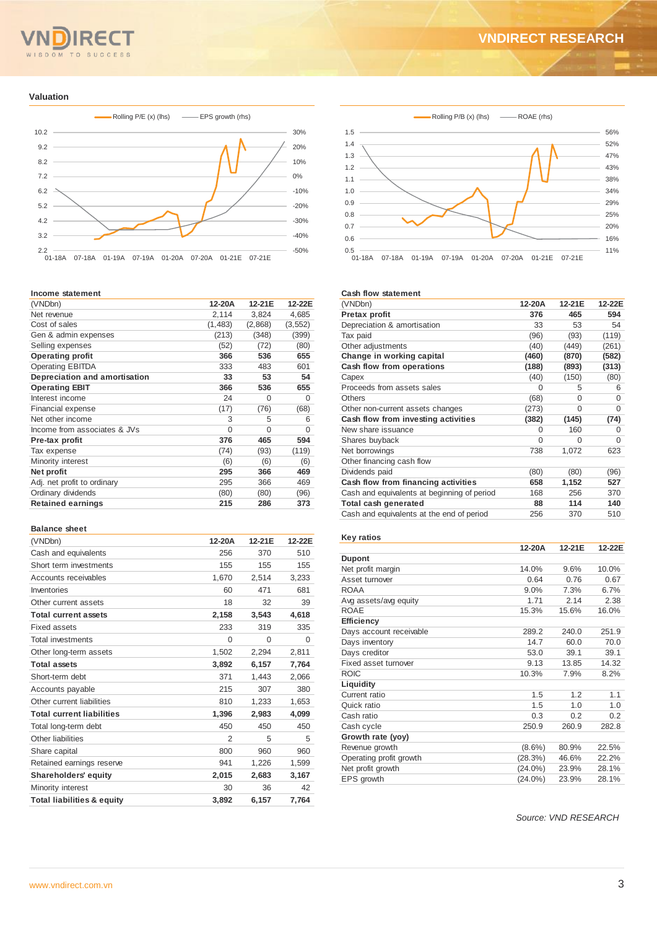# OM TO SUCCESS

## **VNDIRECT RESEARCH**

#### **Valuation**



#### **Income statement**

| (VNDbn)                       | 12-20A   | 12-21E   | 12-22E   |
|-------------------------------|----------|----------|----------|
| Net revenue                   | 2,114    | 3,824    | 4,685    |
| Cost of sales                 | (1, 483) | (2,868)  | (3, 552) |
| Gen & admin expenses          | (213)    | (348)    | (399)    |
| Selling expenses              | (52)     | (72)     | (80)     |
| <b>Operating profit</b>       | 366      | 536      | 655      |
| <b>Operating EBITDA</b>       | 333      | 483      | 601      |
| Depreciation and amortisation | 33       | 53       | 54       |
| <b>Operating EBIT</b>         | 366      | 536      | 655      |
| Interest income               | 24       | 0        | 0        |
| Financial expense             | (17)     | (76)     | (68)     |
| Net other income              | 3        | 5        | 6        |
| Income from associates & JVs  | $\Omega$ | $\Omega$ | 0        |
| Pre-tax profit                | 376      | 465      | 594      |
| Tax expense                   | (74)     | (93)     | (119)    |
| Minority interest             | (6)      | (6)      | (6)      |
| Net profit                    | 295      | 366      | 469      |
| Adj. net profit to ordinary   | 295      | 366      | 469      |
| Ordinary dividends            | (80)     | (80)     | (96)     |
| <b>Retained earnings</b>      | 215      | 286      | 373      |
|                               |          |          |          |

#### **Balance sheet**

| (VNDbn)                               | 12-20A   | 12-21E   | 12-22E   |
|---------------------------------------|----------|----------|----------|
| Cash and equivalents                  | 256      | 370      | 510      |
| Short term investments                | 155      | 155      | 155      |
| Accounts receivables                  | 1,670    | 2,514    | 3,233    |
| Inventories                           | 60       | 471      | 681      |
| Other current assets                  | 18       | 32       | 39       |
| <b>Total current assets</b>           | 2,158    | 3,543    | 4,618    |
| Fixed assets                          | 233      | 319      | 335      |
| <b>Total investments</b>              | $\Omega$ | $\Omega$ | $\Omega$ |
| Other long-term assets                | 1,502    | 2,294    | 2,811    |
| <b>Total assets</b>                   | 3,892    | 6,157    | 7,764    |
| Short-term debt                       | 371      | 1,443    | 2,066    |
| Accounts payable                      | 215      | 307      | 380      |
| Other current liabilities             | 810      | 1,233    | 1,653    |
| <b>Total current liabilities</b>      | 1,396    | 2,983    | 4,099    |
| Total long-term debt                  | 450      | 450      | 450      |
| Other liabilities                     | 2        | 5        | 5        |
| Share capital                         | 800      | 960      | 960      |
| Retained earnings reserve             | 941      | 1,226    | 1,599    |
| <b>Shareholders' equity</b>           | 2,015    | 2,683    | 3,167    |
| Minority interest                     | 30       | 36       | 42       |
| <b>Total liabilities &amp; equity</b> | 3.892    | 6.157    | 7.764    |



#### **Cash flow statement**

| (VNDbn)                                     | 12-20A   | 12-21E | 12-22E   |
|---------------------------------------------|----------|--------|----------|
| Pretax profit                               | 376      | 465    | 594      |
| Depreciation & amortisation                 | 33       | 53     | 54       |
| Tax paid                                    | (96)     | (93)   | (119)    |
| Other adjustments                           | (40)     | (449)  | (261)    |
| Change in working capital                   | (460)    | (870)  | (582)    |
| Cash flow from operations                   | (188)    | (893)  | (313)    |
| Capex                                       | (40)     | (150)  | (80)     |
| Proceeds from assets sales                  | $\Omega$ | 5      | 6        |
| <b>Others</b>                               | (68)     | 0      | 0        |
| Other non-current assets changes            | (273)    | 0      | $\Omega$ |
| Cash flow from investing activities         | (382)    | (145)  | (74)     |
| New share issuance                          | $\Omega$ | 160    | 0        |
| Shares buyback                              | $\Omega$ | O      | 0        |
| Net borrowings                              | 738      | 1,072  | 623      |
| Other financing cash flow                   |          |        |          |
| Dividends paid                              | (80)     | (80)   | (96)     |
| Cash flow from financing activities         | 658      | 1,152  | 527      |
| Cash and equivalents at beginning of period | 168      | 256    | 370      |
| Total cash generated                        | 88       | 114    | 140      |
| Cash and equivalents at the end of period   | 256      | 370    | 510      |

#### **Key ratios**

|                         | 12-20A     | 12-21E | 12-22E |
|-------------------------|------------|--------|--------|
| <b>Dupont</b>           |            |        |        |
| Net profit margin       | 14.0%      | 9.6%   | 10.0%  |
| Asset turnover          | 0.64       | 0.76   | 0.67   |
| ROAA                    | 9.0%       | 7.3%   | 6.7%   |
| Avg assets/avg equity   | 1.71       | 2.14   | 2.38   |
| <b>ROAE</b>             | 15.3%      | 15.6%  | 16.0%  |
| Efficiency              |            |        |        |
| Days account receivable | 289.2      | 240.0  | 251.9  |
| Days inventory          | 14.7       | 60.0   | 70.0   |
| Days creditor           | 53.0       | 39.1   | 39.1   |
| Fixed asset turnover    | 9.13       | 13.85  | 14.32  |
| <b>ROIC</b>             | 10.3%      | 7.9%   | 8.2%   |
| Liquidity               |            |        |        |
| Current ratio           | 1.5        | 1.2    | 1.1    |
| Quick ratio             | 1.5        | 1.0    | 1.0    |
| Cash ratio              | 0.3        | 0.2    | 0.2    |
| Cash cycle              | 250.9      | 260.9  | 282.8  |
| Growth rate (yoy)       |            |        |        |
| Revenue growth          | $(8.6\%)$  | 80.9%  | 22.5%  |
| Operating profit growth | (28.3%)    | 46.6%  | 22.2%  |
| Net profit growth       | $(24.0\%)$ | 23.9%  | 28.1%  |
| EPS growth              | $(24.0\%)$ | 23.9%  | 28.1%  |

 *Source: VND RESEARCH*